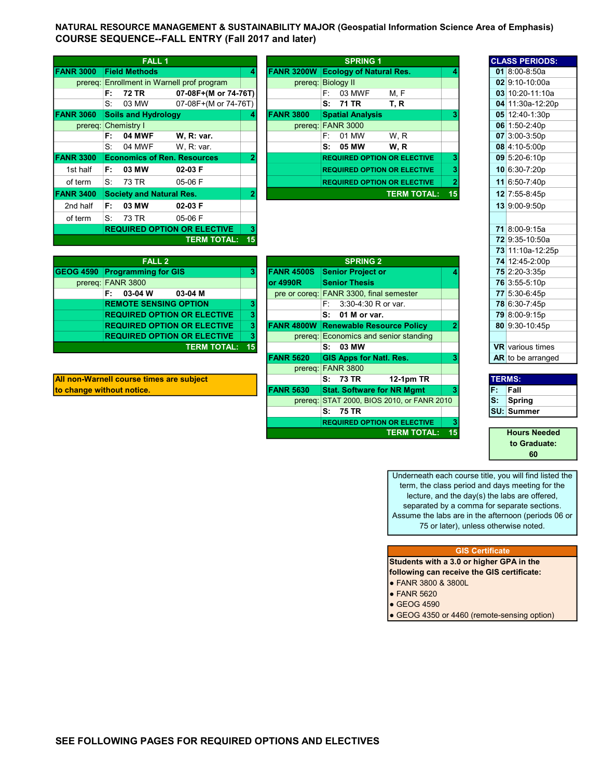NATURAL RESOURCE MANAGEMENT & SUSTAINABILITY MAJOR (Geospatial Information Science Area of Emphasis) COURSE SEQUENCE--FALL ENTRY (Fall 2017 and later)

|                  |         | <b>FALL 1</b>                      |                                            |    |                    |    | <b>SPRING 1</b>                    |                    |    |  | <b>CLASS PERIOD</b>      |
|------------------|---------|------------------------------------|--------------------------------------------|----|--------------------|----|------------------------------------|--------------------|----|--|--------------------------|
|                  |         |                                    |                                            |    |                    |    |                                    |                    |    |  |                          |
| <b>FANR 3000</b> |         | <b>Field Methods</b>               |                                            | 4  | <b>FANR 3200W</b>  |    | <b>Ecology of Natural Res.</b>     |                    |    |  | 01 8:00-8:50a            |
|                  |         |                                    | prereg: Enrollment in Warnell prof program |    | prereg: Biology II |    |                                    |                    |    |  | 02 9:10-10:00a           |
|                  | F:      | 72 TR                              | 07-08F+(M or 74-76T)                       |    |                    | F: | 03 MWF                             | M, F               |    |  | 03 10:20-11:10           |
|                  | S:      | 03 MW                              | 07-08F+(M or 74-76T)                       |    |                    |    | S: 71 TR                           | T, R               |    |  | 04 11:30a-12:2           |
| <b>FANR 3060</b> |         | <b>Soils and Hydrology</b>         |                                            | 4  | <b>FANR 3800</b>   |    | <b>Spatial Analysis</b>            |                    |    |  | 05 12:40-1:30p           |
|                  |         | prereg: Chemistry I                |                                            |    | prereq:            |    | <b>FANR 3000</b>                   |                    |    |  | 06 1:50-2:40p            |
|                  | F:      | <b>04 MWF</b>                      | W. R: var.                                 |    |                    | F: | 01 MW                              | W.R                |    |  | $07 \times 3.00 - 3.50p$ |
|                  | S.      | 04 MWF                             | W, R: var.                                 |    |                    | s. | 05 MW                              | W.R                |    |  | 08 4:10-5:00p            |
| <b>FANR 3300</b> |         | <b>Economics of Ren. Resources</b> |                                            | 2  |                    |    | <b>REQUIRED OPTION OR ELECTIVE</b> |                    | 3  |  | $09$ 5:20-6:10p          |
| 1st half         | F:      | 03 MW                              | 02-03 F                                    |    |                    |    | <b>REQUIRED OPTION OR ELECTIVE</b> |                    |    |  | 10 6:30-7:20p            |
| of term          | $S_{1}$ | 73 TR                              | 05-06 F                                    |    |                    |    | <b>REQUIRED OPTION OR ELECTIVE</b> |                    |    |  | 11 6:50-7:40p            |
| <b>FANR 3400</b> |         | <b>Society and Natural Res.</b>    |                                            | 2  |                    |    |                                    | <b>TERM TOTAL:</b> | 15 |  | 12 7:55-8:45p            |
| 2nd half         | F:      | 03 MW                              | 02-03 F                                    |    |                    |    |                                    |                    |    |  | 13 9:00-9:50p            |
| of term          | S:      | 73 TR                              | 05-06 F                                    |    |                    |    |                                    |                    |    |  |                          |
|                  |         |                                    | <b>REQUIRED OPTION OR ELECTIVE</b>         |    |                    |    |                                    |                    |    |  | 71 8:00-9:15a            |
|                  |         |                                    | <b>TERM TOTAL:</b>                         | 15 |                    |    |                                    |                    |    |  | 72 9:35-10:50a           |
|                  |         |                                    |                                            |    |                    |    |                                    |                    |    |  |                          |

|                | <b>FALL 1</b>                      |                                    |   |                   | <b>SPRING 1</b>                    |                    |    | <b>CLASS PERIODS:</b> |
|----------------|------------------------------------|------------------------------------|---|-------------------|------------------------------------|--------------------|----|-----------------------|
| <b>NR 3000</b> | <b>Field Methods</b>               |                                    | 4 | <b>FANR 3200W</b> | <b>Ecology of Natural Res.</b>     |                    |    | 01 8:00-8:50a         |
| prereq:        |                                    | Enrollment in Warnell prof program |   | prereq:           | <b>Biology II</b>                  |                    |    | 02 9:10-10:00a        |
|                | 72 TR<br>F:                        | 07-08F+(M or 74-76T)               |   |                   | 03 MWF<br>F:                       | M.F                |    | 03 10:20-11:10a       |
|                | 03 MW<br>S.                        | 07-08F+(M or 74-76T)               |   |                   | S: 71 TR                           | T, R               |    | 04 11:30a-12:20p      |
| <b>NR 3060</b> | <b>Soils and Hydrology</b>         |                                    | 4 | <b>FANR 3800</b>  | <b>Spatial Analysis</b>            |                    |    | 05 12:40-1:30p        |
|                | prereq: Chemistry I                |                                    |   | prereq:           | <b>FANR 3000</b>                   |                    |    | 06 1:50-2:40p         |
|                | <b>04 MWF</b><br>F:                | W. R: var.                         |   |                   | 01 MW<br>F: I                      | W.R                |    | 07 3:00-3:50p         |
|                | 04 MWF<br>S.                       | W, R: var.                         |   |                   | 05 MW<br>S.                        | W.R                |    | 08 4:10-5:00p         |
| <b>NR 3300</b> | <b>Economics of Ren. Resources</b> |                                    | 2 |                   | <b>REQUIRED OPTION OR ELECTIVE</b> |                    |    | 09 5:20-6:10p         |
| 1st half       | 03 MW<br>F:                        | 02-03 F                            |   |                   | <b>REQUIRED OPTION OR ELECTIVE</b> |                    |    | 10 6:30-7:20p         |
| of term        | 73 TR<br>S.                        | 05-06 F                            |   |                   | <b>REQUIRED OPTION OR ELECTIVE</b> |                    |    | 11 6:50-7:40p         |
| NR 3400        | <b>Society and Natural Res.</b>    |                                    | 2 |                   |                                    | <b>TERM TOTAL:</b> | 15 | 12 7:55-8:45p         |
| 2nd half       | 03 MW<br>F٠                        | $02-03 F$                          |   |                   |                                    |                    |    | $13 9.00-9.50n$       |

|                                      |    |                   |                                             |               |  |  | <u>19 11.194-12.</u>  |
|--------------------------------------|----|-------------------|---------------------------------------------|---------------|--|--|-----------------------|
| FALL <sub>2</sub>                    |    |                   |                                             | 74 12:45-2:00 |  |  |                       |
| <b>GEOG 4590 Programming for GIS</b> |    | <b>FANR 4500S</b> | <b>Senior Project or</b>                    |               |  |  | 75 2:20-3:35p         |
| prereq: FANR 3800                    |    | lor 4990R         | <b>Senior Thesis</b>                        |               |  |  | 76 3:55-5:10p         |
| 03-04 W<br>03-04 M<br>F:             |    |                   | pre or coreq: FANR 3300, final semester     |               |  |  | 77 5:30-6:45p         |
| <b>REMOTE SENSING OPTION</b>         |    |                   | $F: 3:30-4:30 R$ or var.                    |               |  |  | 78 6:30-7:45p         |
| <b>REQUIRED OPTION OR ELECTIVE</b>   |    |                   | $S: 01$ M or var.                           |               |  |  | 79 8:00-9:15p         |
| <b>REQUIRED OPTION OR ELECTIVE</b>   | 3. |                   | <b>FANR 4800W Renewable Resource Policy</b> |               |  |  | 80 9:30-10:45         |
| <b>REQUIRED OPTION OR ELECTIVE</b>   | з  |                   | prereq: Economics and senior standing       |               |  |  |                       |
| <b>TERM TOTAL: 15</b>                |    |                   | S: 03 MW                                    |               |  |  | <b>VR</b> various tim |
|                                      |    | <b>EAND ECON</b>  | OIO Anna far Nati Dag                       |               |  |  | $AD$ to be example    |

All non-Warnell course times are subject to change without notice.

|    |                   | <b>SPRING 2</b>                    |                                                                                             |                                                          | 74 12:45-2:00p          |
|----|-------------------|------------------------------------|---------------------------------------------------------------------------------------------|----------------------------------------------------------|-------------------------|
| 3  | <b>FANR 4500S</b> | <b>Senior Project or</b>           |                                                                                             |                                                          | 75 2:20-3:35p           |
|    | lor 4990R         | <b>Senior Thesis</b>               |                                                                                             |                                                          | 76 3:55-5:10p           |
|    |                   |                                    |                                                                                             |                                                          | 77 5:30-6:45p           |
| 3  |                   | 3:30-4:30 R or var.<br>F: I        |                                                                                             |                                                          | 78 6:30-7:45p           |
| 3  |                   | 01 M or var.<br>S.                 |                                                                                             |                                                          | 79 8:00-9:15p           |
| 3  | FANR 4800W        | <b>Renewable Resource Policy</b>   | 2                                                                                           |                                                          | 80 9:30-10:45p          |
| 3  |                   |                                    |                                                                                             |                                                          |                         |
| 15 |                   | S: 03 MW                           |                                                                                             |                                                          | <b>VR</b> various times |
|    | <b>FANR 5620</b>  | <b>GIS Apps for Natl. Res.</b>     | 3                                                                                           |                                                          | AR to be arranged       |
|    | prereq:           | <b>FANR 3800</b>                   |                                                                                             |                                                          |                         |
|    |                   | <b>12-1pm TR</b><br>S: 73 TR       |                                                                                             |                                                          | <b>TERMS:</b>           |
|    | <b>FANR 5630</b>  | <b>Stat. Software for NR Mgmt</b>  | 3                                                                                           | F.                                                       | Fall                    |
|    |                   |                                    |                                                                                             | ls:                                                      | Spring                  |
|    |                   | S: 75 TR                           |                                                                                             |                                                          | <b>SU: Summer</b>       |
|    |                   | <b>REQUIRED OPTION OR ELECTIVE</b> | 3                                                                                           |                                                          |                         |
|    |                   |                                    | 15                                                                                          |                                                          | <b>Hours Needed</b>     |
|    |                   |                                    | pre or coreq: FANR 3300, final semester<br>prereg: Economics and senior standing<br>prereq: | STAT 2000, BIOS 2010, or FANR 2010<br><b>TERM TOTAL:</b> |                         |

|      | <b>CLASS PERIODS:</b>   |
|------|-------------------------|
|      | 01 8:00-8:50a           |
|      | 02 9:10-10:00a          |
|      | 03 10:20-11:10a         |
|      | 04 11:30a-12:20p        |
|      | 05 12:40-1:30p          |
|      | 06 1:50-2:40p           |
|      | $07$ 3:00-3:50p         |
|      | 08 4:10-5:00p           |
|      | 09 5:20-6:10p           |
|      | 10 6:30-7:20p           |
|      | 11 6:50-7:40p           |
|      | 12 7:55-8:45p           |
|      | 13 9:00-9:50p           |
|      |                         |
|      | 71 8:00-9:15a           |
|      | 72 9:35-10:50a          |
|      | 73 11:10a-12:25p        |
|      | 74 12:45-2:00p          |
|      | 75 2:20-3:35p           |
|      | 76 3:55-5:10p           |
|      | 77 5:30-6:45p           |
|      | 78 6:30-7:45p           |
|      | 79 8:00-9:15p           |
| 80   | 9:30-10:45p             |
|      |                         |
|      | <b>VR</b> various times |
| AR I | to be arranged          |

| <b>TERMS:</b> |                   |
|---------------|-------------------|
|               | Fall              |
|               | Spring            |
|               | <b>SU: Summer</b> |

Hours Needed to Graduate: 60

Underneath each course title, you will find listed the term, the class period and days meeting for the lecture, and the day(s) the labs are offered, separated by a comma for separate sections. Assume the labs are in the afternoon (periods 06 or 75 or later), unless otherwise noted.

## GIS Certificate

Students with a 3.0 or higher GPA in the following can receive the GIS certificate:

- FANR 3800 & 3800L
- FANR 5620
- $\bullet$  GEOG 4590

• GEOG 4350 or 4460 (remote-sensing option)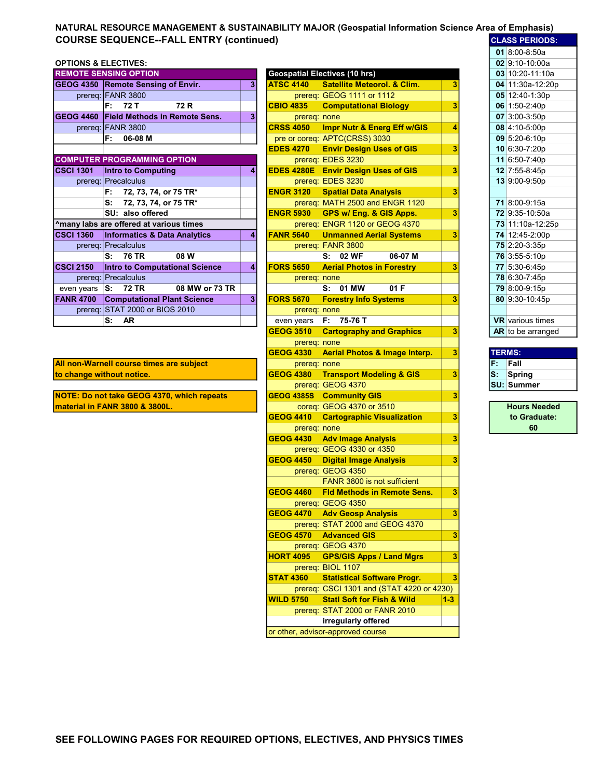## NATURAL RESOURCE MANAGEMENT & SUSTAINABILITY MAJOR (Geospatial Information Science Area of Emphasis) COURSE SEQUENCE--FALL ENTRY (continued) EQUESS PERIODS:  $\frac{1}{2}$

## OPTIONS & ELECTIVES: 02 9:10-10:00 02:10-10:00 02:10:00 02:10:00 02:10:00 02:10:00

|                  | <b>REMOTE SENSING OPTION</b>              |   |                   | <b>Geospatial Electives (10 hrs)</b>   |   |  |                         |  |
|------------------|-------------------------------------------|---|-------------------|----------------------------------------|---|--|-------------------------|--|
|                  | <b>GEOG 4350 Remote Sensing of Envir.</b> | 3 | <b>ATSC 4140</b>  | <b>Satellite Meteorol. &amp; Clim.</b> |   |  | 04 11:30a-12:20p        |  |
|                  | prereq: FANR 3800                         |   |                   | prereq: GEOG 1111 or 1112              |   |  | 05 12:40-1:30p          |  |
|                  | 72 R<br>F:<br>72 T                        |   | <b>CBIO 4835</b>  | <b>Computational Biology</b>           | 3 |  | 06 1:50-2:40p           |  |
| <b>GEOG 4460</b> | <b>Field Methods in Remote Sens.</b>      | 3 | prereq: none      |                                        |   |  | 07 3:00-3:50p           |  |
|                  | prereq: FANR 3800                         |   | <b>CRSS 4050</b>  | Impr Nutr & Energ Eff w/GIS            |   |  | 08 4:10-5:00p           |  |
|                  | 06-08 M<br>F:                             |   |                   | pre or coreq: APTC(CRSS) 3030          |   |  | 09 5:20-6:10p           |  |
|                  |                                           |   | <b>EDES 4270</b>  | <b>Envir Design Uses of GIS</b>        | 3 |  | 10 6:30-7:20p           |  |
|                  | <b>COMPUTER PROGRAMMING OPTION</b>        |   |                   | prereq: EDES 3230                      |   |  | 11 6:50-7:40p           |  |
| <b>CSCI 1301</b> | <b>Intro to Computing</b>                 | 4 | <b>EDES 4280E</b> | <b>Envir Design Uses of GIS</b>        | 3 |  | 12 7:55-8:45p           |  |
|                  | prereq: Precalculus                       |   |                   | prereq: EDES 3230                      |   |  | 13 9:00-9:50p           |  |
|                  | 72, 73, 74, or 75 TR*<br>F:               |   | <b>ENGR 3120</b>  | <b>Spatial Data Analysis</b>           | 3 |  |                         |  |
|                  | S:<br>72, 73, 74, or 75 TR*               |   |                   | prereq: MATH 2500 and ENGR 1120        |   |  | 71 8:00-9:15a           |  |
|                  | SU: also offered                          |   | <b>ENGR 5930</b>  | GPS w/ Eng. & GIS Apps.                | 3 |  | 72 9:35-10:50a          |  |
|                  | Amany labs are offered at various times   |   |                   | prereq: ENGR 1120 or GEOG 4370         |   |  | 73 11:10a-12:25p        |  |
| <b>CSCI 1360</b> | <b>Informatics &amp; Data Analytics</b>   |   | <b>FANR 5640</b>  | <b>Unmanned Aerial Systems</b>         | 3 |  | 74 12:45-2:00p          |  |
|                  | prereq: Precalculus                       |   |                   | prereq: FANR 3800                      |   |  | 75 2:20-3:35p           |  |
|                  | <b>76 TR</b><br>08 W<br>S:                |   |                   | S: 02 WF<br>06-07 M                    |   |  | 76 3:55-5:10p           |  |
| <b>CSCI 2150</b> | <b>Intro to Computational Science</b>     | 4 | <b>FORS 5650</b>  | <b>Aerial Photos in Forestry</b>       | 3 |  | 77 5:30-6:45p           |  |
|                  | prereq: Precalculus                       |   | prereq: none      |                                        |   |  | 78 6:30-7:45p           |  |
| even years       | 08 MW or 73 TR<br><b>72 TR</b><br>s:      |   |                   | 01 MW<br>01F<br>s:                     |   |  | 79 8:00-9:15p           |  |
| <b>FANR 4700</b> | <b>Computational Plant Science</b>        | 3 | <b>FORS 5670</b>  | <b>Forestry Info Systems</b>           | 3 |  | 80 9:30-10:45p          |  |
|                  | prereq: STAT 2000 or BIOS 2010            |   | prereq: none      |                                        |   |  |                         |  |
|                  | <b>AR</b><br>s:                           |   | even years        | $F: 75-76T$                            |   |  | <b>VR</b> various times |  |

| <b>REMOTE SENSING OPTION</b>                                |   |                   | <b>Geospatial Electives (10 hrs)</b>                     |         |     | $03$ 10:20-11:10a       |
|-------------------------------------------------------------|---|-------------------|----------------------------------------------------------|---------|-----|-------------------------|
| GEOG 4350 Remote Sensing of Envir.                          | 3 | <b>ATSC 4140</b>  | <b>Satellite Meteorol. &amp; Clim.</b>                   | 3       |     | 04 11:30a-12:20p        |
| prereq: FANR 3800                                           |   |                   | prereq: GEOG 1111 or 1112                                |         |     | 05 12:40-1:30p          |
| 72 R<br>F:<br>72 T                                          |   | <b>CBIO 4835</b>  | <b>Computational Biology</b>                             | 3       |     | 06 1:50-2:40p           |
| <b>GEOG 4460</b><br><b>Field Methods in Remote Sens.</b>    | 3 | prereq: none      |                                                          |         |     | 07 3:00-3:50p           |
| prereq: FANR 3800                                           |   | <b>CRSS 4050</b>  | Impr Nutr & Energ Eff w/GIS                              | 4       |     | 08 4:10-5:00p           |
| 06-08 M<br>F:                                               |   |                   | pre or coreq: APTC(CRSS) 3030                            |         |     | 09 5:20-6:10p           |
|                                                             |   | <b>EDES 4270</b>  | <b>Envir Design Uses of GIS</b>                          | 3       |     | 10 6:30-7:20p           |
| <b>COMPUTER PROGRAMMING OPTION</b>                          |   |                   | prereq: EDES 3230                                        |         |     | 11 6:50-7:40p           |
| <b>CSCI 1301</b><br><b>Intro to Computing</b>               | 4 |                   | <b>EDES 4280E</b> Envir Design Uses of GIS               | 3       |     | 12 7:55-8:45p           |
| prereq: Precalculus                                         |   |                   | prereq: EDES 3230                                        |         |     | 13 9:00-9:50p           |
| 72, 73, 74, or 75 TR*<br>F:                                 |   | <b>ENGR 3120</b>  | <b>Spatial Data Analysis</b>                             | 3       |     |                         |
| 72, 73, 74, or 75 TR*<br>s:                                 |   |                   | prereq: MATH 2500 and ENGR 1120                          |         |     | 71 8:00-9:15a           |
| SU: also offered                                            |   | <b>ENGR 5930</b>  | GPS w/ Eng. & GIS Apps.                                  | 3       |     | 72 9:35-10:50a          |
| ^many labs are offered at various times                     |   |                   | prereq: ENGR 1120 or GEOG 4370                           |         |     | 73 11:10a-12:25p        |
| <b>CSCI 1360</b><br><b>Informatics &amp; Data Analytics</b> | 4 | <b>FANR 5640</b>  | <b>Unmanned Aerial Systems</b>                           | 3       |     | 74 12:45-2:00p          |
| prereq: Precalculus                                         |   |                   | prereq: FANR 3800                                        |         |     | 75 2:20-3:35p           |
| <b>76 TR</b><br>08 W<br>s:                                  |   |                   | 06-07 M<br>S: 02 WF                                      |         |     | 76 3:55-5:10p           |
| <b>CSCI 2150</b><br>Intro to Computational Science          | 4 | <b>FORS 5650</b>  | <b>Aerial Photos in Forestry</b>                         | 3       |     | 77 5:30-6:45p           |
| prereq: Precalculus                                         |   | prereq: none      |                                                          |         |     | 78 6:30-7:45p           |
| even years S: 72 TR<br>08 MW or 73 TR                       |   |                   | S: 01 MW<br>01 F                                         |         |     | 79 8:00-9:15p           |
| <b>FANR 4700</b><br><b>Computational Plant Science</b>      | 3 | <b>FORS 5670</b>  | <b>Forestry Info Systems</b>                             | 3       |     | 80 9:30-10:45p          |
| prereq: STAT 2000 or BIOS 2010                              |   | prereq: none      |                                                          |         |     |                         |
| s:<br><b>AR</b>                                             |   | even years        | F: 75-76 T                                               |         |     | <b>VR</b> various times |
|                                                             |   | <b>GEOG 3510</b>  | <b>Cartography and Graphics</b>                          | 3       |     | AR to be arranged       |
|                                                             |   | prereq: none      |                                                          |         |     |                         |
|                                                             |   | <b>GEOG 4330</b>  | <b>Aerial Photos &amp; Image Interp.</b>                 | 3       |     | <b>TERMS:</b>           |
|                                                             |   |                   |                                                          |         |     |                         |
|                                                             |   |                   |                                                          |         | F.  | Fall                    |
| All non-Warnell course times are subject                    |   | prereq: none      |                                                          |         | lS: |                         |
| to change without notice.                                   |   | <b>GEOG 4380</b>  | <b>Transport Modeling &amp; GIS</b>                      | 3       |     | Spring                  |
|                                                             |   |                   | prereq: GEOG 4370                                        |         |     | <b>SU: Summer</b>       |
| NOTE: Do not take GEOG 4370, which repeats                  |   | <b>GEOG 4385S</b> | <b>Community GIS</b>                                     | 3       |     |                         |
| material in FANR 3800 & 3800L.                              |   |                   | coreq: GEOG 4370 or 3510                                 |         |     | <b>Hours Needed</b>     |
|                                                             |   | <b>GEOG 4410</b>  | <b>Cartographic Visualization</b>                        | 3       |     | to Graduate:            |
|                                                             |   | prereq: none      |                                                          |         |     | 60                      |
|                                                             |   | <b>GEOG 4430</b>  | <b>Adv Image Analysis</b>                                | 3       |     |                         |
|                                                             |   |                   | prereq: GEOG 4330 or 4350                                |         |     |                         |
|                                                             |   | <b>GEOG 4450</b>  | <b>Digital Image Analysis</b>                            | 3       |     |                         |
|                                                             |   |                   | prereq: GEOG 4350                                        |         |     |                         |
|                                                             |   | <b>GEOG 4460</b>  | FANR 3800 is not sufficient                              |         |     |                         |
|                                                             |   |                   | <b>Fld Methods in Remote Sens.</b>                       | 3       |     |                         |
|                                                             |   |                   | prereq: GEOG 4350                                        |         |     |                         |
|                                                             |   | <b>GEOG 4470</b>  | <b>Adv Geosp Analysis</b>                                | 3       |     |                         |
|                                                             |   |                   | prereq: STAT 2000 and GEOG 4370                          |         |     |                         |
|                                                             |   | <b>GEOG 4570</b>  | <b>Advanced GIS</b>                                      | 3       |     |                         |
|                                                             |   |                   | prereq: GEOG 4370                                        |         |     |                         |
|                                                             |   | <b>HORT 4095</b>  | <b>GPS/GIS Apps / Land Mgrs</b>                          | 3       |     |                         |
|                                                             |   |                   | prereq: BIOL 1107                                        |         |     |                         |
|                                                             |   | <b>STAT 4360</b>  | <b>Statistical Software Progr.</b>                       | 3       |     |                         |
|                                                             |   |                   | prereq: CSCI 1301 and (STAT 4220 or 4230)                |         |     |                         |
|                                                             |   | <b>WILD 5750</b>  | <b>Statl Soft for Fish &amp; Wild</b>                    | $1 - 3$ |     |                         |
|                                                             |   |                   | prereq: STAT 2000 or FANR 2010                           |         |     |                         |
|                                                             |   |                   | irregularly offered<br>or other, advisor-approved course |         |     |                         |

|               | <b>CLASS PERIODS:</b>   |
|---------------|-------------------------|
|               | $018:00 - 8:50a$        |
|               | 02 9:10-10:00a          |
|               | 03 10:20-11:10a         |
|               | 04 11:30a-12:20p        |
|               | 05 12:40-1:30p          |
|               | 06 1:50-2:40p           |
|               | 07 3:00-3:50p           |
| 80            | 4:10-5:00p              |
|               | 09 5:20-6:10p           |
|               | 10 6:30-7:20p           |
|               | 11 6:50-7:40p           |
|               | 12 7:55-8:45p           |
|               | 13 9:00-9:50p           |
|               |                         |
|               | 71 8:00-9:15a           |
|               | 72 9:35-10:50a          |
|               | 73 11:10a-12:25p        |
|               | 74 12:45-2:00p          |
|               | 75 2:20-3:35p           |
|               | 76 3:55-5:10p           |
|               | 77 5:30-6:45p           |
|               | 78 6:30-7:45p           |
|               | 79 8:00-9:15p           |
|               | 80 9:30-10:45p          |
|               |                         |
|               | <b>VR</b> various times |
|               | AR to be arranged       |
|               |                         |
| <b>TERMS:</b> |                         |
| F:            | Fall                    |
| s:            | Spring                  |
| SU:           | <b>Summer</b>           |

| <b>Hours Needed</b> |
|---------------------|
| to Graduate:        |
| 60                  |